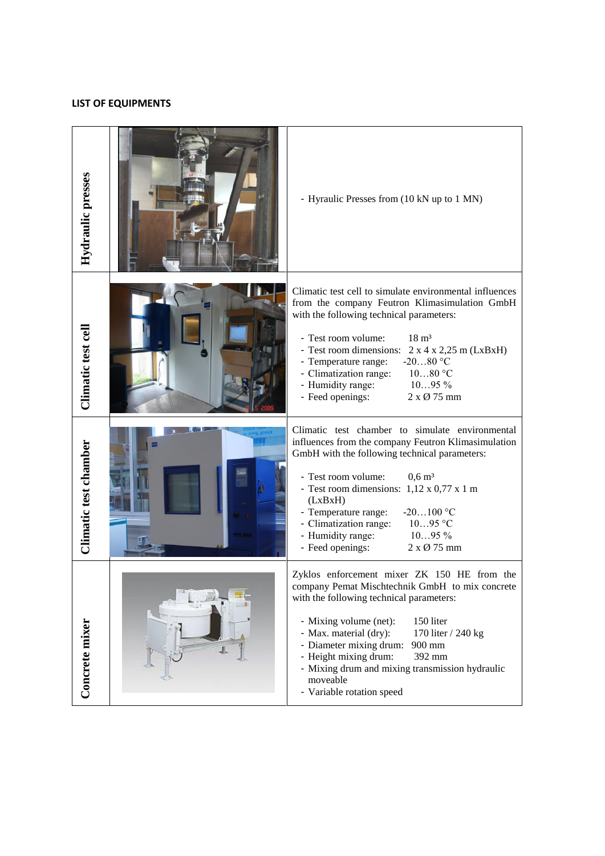## **LIST OF EQUIPMENTS**

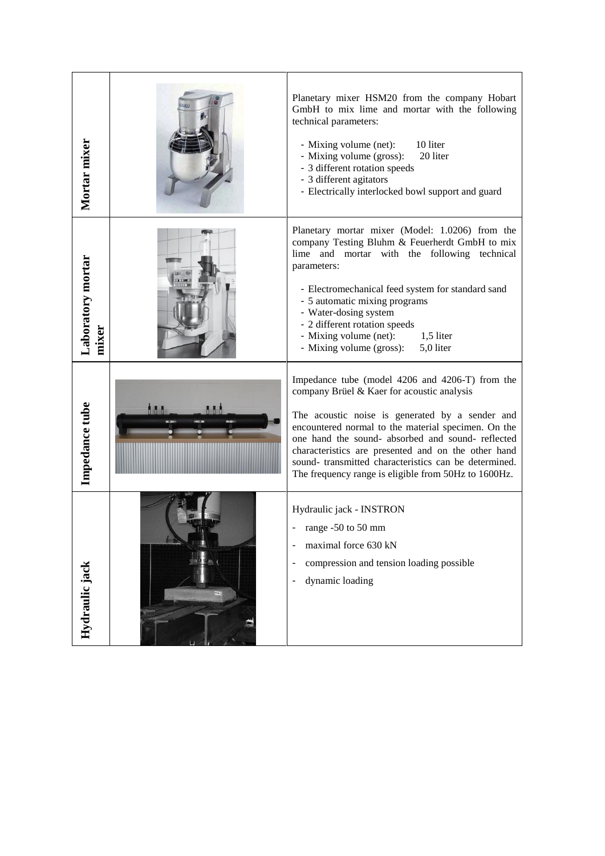| Mortar mixer               | Planetary mixer HSM20 from the company Hobart<br>GmbH to mix lime and mortar with the following<br>technical parameters:<br>- Mixing volume (net):<br>10 liter<br>- Mixing volume (gross):<br>20 liter<br>- 3 different rotation speeds<br>- 3 different agitators<br>- Electrically interlocked bowl support and guard                                                                                                             |
|----------------------------|-------------------------------------------------------------------------------------------------------------------------------------------------------------------------------------------------------------------------------------------------------------------------------------------------------------------------------------------------------------------------------------------------------------------------------------|
| Laboratory mortar<br>mixer | Planetary mortar mixer (Model: 1.0206) from the<br>company Testing Bluhm & Feuerherdt GmbH to mix<br>lime and mortar with the following technical<br>parameters:<br>- Electromechanical feed system for standard sand<br>- 5 automatic mixing programs<br>- Water-dosing system<br>- 2 different rotation speeds<br>- Mixing volume (net):<br>1,5 liter<br>- Mixing volume (gross):<br>5,0 liter                                    |
| Impedance tube             | Impedance tube (model 4206 and 4206-T) from the<br>company Brüel & Kaer for acoustic analysis<br>The acoustic noise is generated by a sender and<br>encountered normal to the material specimen. On the<br>one hand the sound- absorbed and sound- reflected<br>characteristics are presented and on the other hand<br>sound-transmitted characteristics can be determined.<br>The frequency range is eligible from 50Hz to 1600Hz. |
| Hydraulic jack             | Hydraulic jack - INSTRON<br>range -50 to 50 mm<br>maximal force 630 kN<br>-<br>compression and tension loading possible<br>-<br>dynamic loading                                                                                                                                                                                                                                                                                     |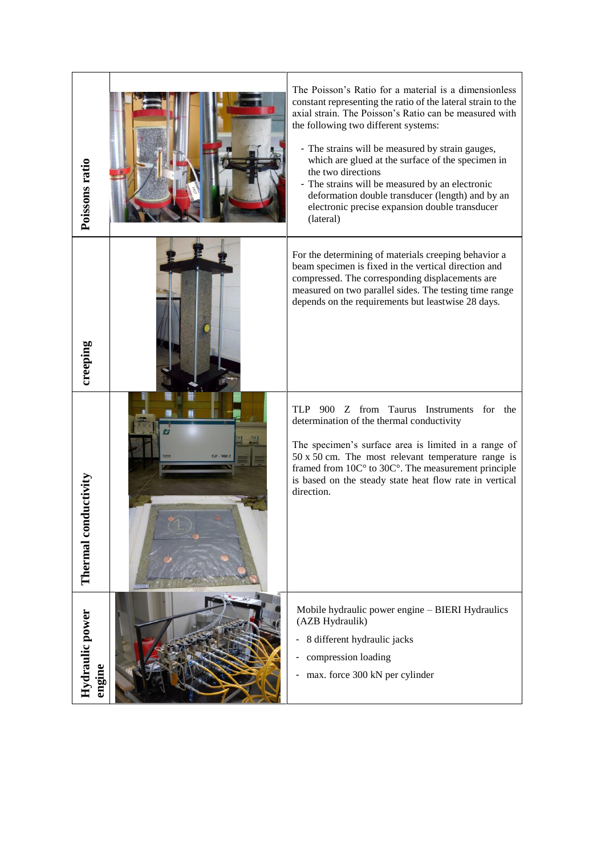| Poissons ratio            | The Poisson's Ratio for a material is a dimensionless<br>constant representing the ratio of the lateral strain to the<br>axial strain. The Poisson's Ratio can be measured with<br>the following two different systems:<br>- The strains will be measured by strain gauges,<br>which are glued at the surface of the specimen in<br>the two directions<br>- The strains will be measured by an electronic<br>deformation double transducer (length) and by an<br>electronic precise expansion double transducer<br>(lateral) |
|---------------------------|------------------------------------------------------------------------------------------------------------------------------------------------------------------------------------------------------------------------------------------------------------------------------------------------------------------------------------------------------------------------------------------------------------------------------------------------------------------------------------------------------------------------------|
| creeping                  | For the determining of materials creeping behavior a<br>beam specimen is fixed in the vertical direction and<br>compressed. The corresponding displacements are<br>measured on two parallel sides. The testing time range<br>depends on the requirements but leastwise 28 days.                                                                                                                                                                                                                                              |
| onductivity<br>Thermal c  | TLP<br>900 Z from Taurus Instruments for the<br>determination of the thermal conductivity<br>The specimen's surface area is limited in a range of<br>50 x 50 cm. The most relevant temperature range is<br>framed from $10C^{\circ}$ to $30C^{\circ}$ . The measurement principle<br>is based on the steady state heat flow rate in vertical<br>direction.                                                                                                                                                                   |
| Hydraulic power<br>engine | Mobile hydraulic power engine - BIERI Hydraulics<br>(AZB Hydraulik)<br>8 different hydraulic jacks<br>compression loading<br>max. force 300 kN per cylinder                                                                                                                                                                                                                                                                                                                                                                  |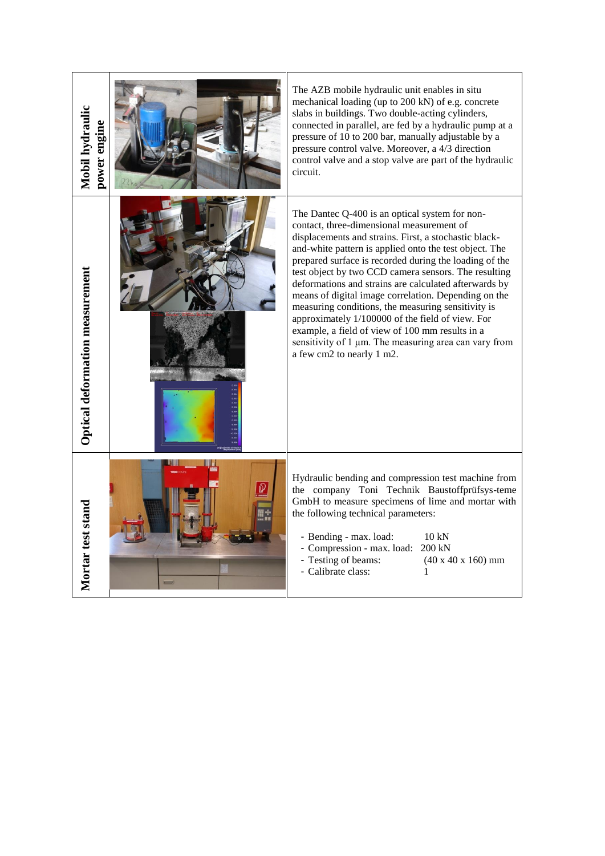| Mobil hydraulic<br>power engine | The AZB mobile hydraulic unit enables in situ<br>mechanical loading (up to 200 kN) of e.g. concrete<br>slabs in buildings. Two double-acting cylinders,<br>connected in parallel, are fed by a hydraulic pump at a<br>pressure of 10 to 200 bar, manually adjustable by a<br>pressure control valve. Moreover, a 4/3 direction<br>control valve and a stop valve are part of the hydraulic<br>circuit.                                                                                                                                                                                                                                                                                               |
|---------------------------------|------------------------------------------------------------------------------------------------------------------------------------------------------------------------------------------------------------------------------------------------------------------------------------------------------------------------------------------------------------------------------------------------------------------------------------------------------------------------------------------------------------------------------------------------------------------------------------------------------------------------------------------------------------------------------------------------------|
| Optical deformation measurement | The Dantec Q-400 is an optical system for non-<br>contact, three-dimensional measurement of<br>displacements and strains. First, a stochastic black-<br>and-white pattern is applied onto the test object. The<br>prepared surface is recorded during the loading of the<br>test object by two CCD camera sensors. The resulting<br>deformations and strains are calculated afterwards by<br>means of digital image correlation. Depending on the<br>measuring conditions, the measuring sensitivity is<br>approximately 1/100000 of the field of view. For<br>example, a field of view of 100 mm results in a<br>sensitivity of 1 µm. The measuring area can vary from<br>a few cm2 to nearly 1 m2. |
| Mortar test stand               | Hydraulic bending and compression test machine from<br>the company Toni Technik Baustoffprüfsys-teme<br>GmbH to measure specimens of lime and mortar with<br>the following technical parameters:<br>- Bending - max. load:<br>10 kN<br>- Compression - max. load: 200 kN<br>- Testing of beams:<br>$(40 x 40 x 160)$ mm<br>- Calibrate class:<br>1                                                                                                                                                                                                                                                                                                                                                   |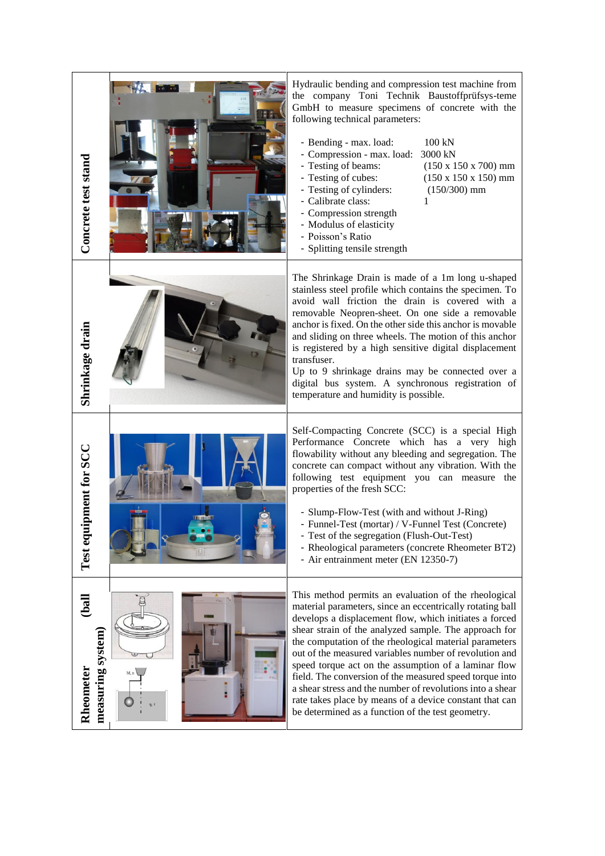